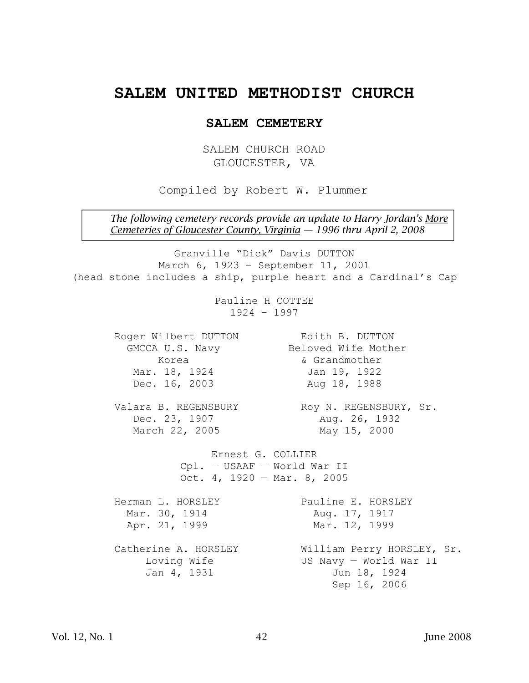### **SALEM CEMETERY**

SALEM CHURCH ROAD GLOUCESTER, VA

Compiled by Robert W. Plummer

*The following cemetery records provide an update to Harry Jordan's More Cemeteries of Gloucester County, Virginia — 1996 thru April 2, 2008* 

Granville "Dick" Davis DUTTON March 6, 1923 – September 11, 2001 (head stone includes a ship, purple heart and a Cardinal's Cap

> Pauline H COTTEE 1924 – 1997

Mar. 18, 1924 Jan 19, 1922 Dec. 16, 2003 Aug 18, 1988

Valara B. REGENSBURY Roy N. REGENSBURY, Sr. Dec. 23, 1907 Aug. 26, 1932 March 22, 2005 May 15, 2000

Roger Wilbert DUTTON B. DUTTON GMCCA U.S. Navy Beloved Wife Mother Korea **6 March 1988** & Grandmother

Ernest G. COLLIER Cpl. — USAAF — World War II Oct. 4, 1920 — Mar. 8, 2005

Mar. 30, 1914 **Aug. 17, 1917** Apr. 21, 1999 Mar. 12, 1999

Herman L. HORSLEY Pauline E. HORSLEY

Catherine A. HORSLEY William Perry HORSLEY, Sr. Loving Wife US Navy — World War II Jan 4, 1931 Jun 18, 1924 Sep 16, 2006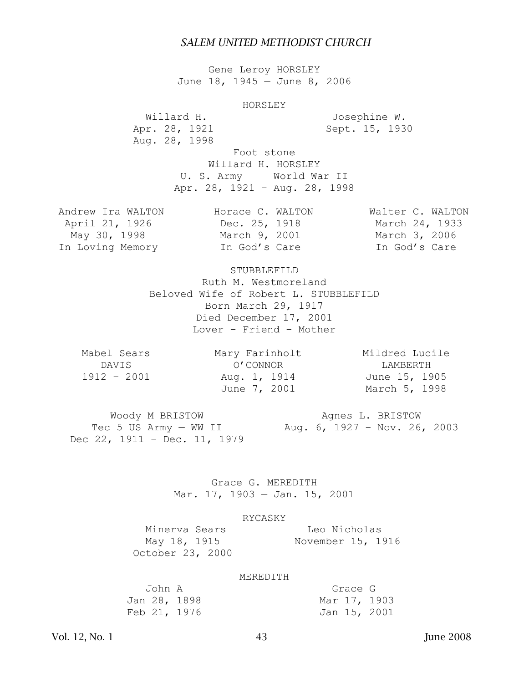Gene Leroy HORSLEY June 18, 1945 — June 8, 2006

HORSLEY

Willard H. Same Music Josephine W. Apr. 28, 1921 Sept. 15, 1930 Aug. 28, 1998 Foot stone

Willard H. HORSLEY U. S. Army — World War II Apr. 28, 1921 – Aug. 28, 1998

| Andrew Ira WALTON | Horace C. WALTON | Walter C. WALTON |
|-------------------|------------------|------------------|
| April 21, 1926    | Dec. 25, 1918    | March 24, 1933   |
| May 30, 1998      | March 9, 2001    | March 3, 2006    |
| In Loving Memory  | In God's Care    | In God's Care    |

STUBBLEFILD Ruth M. Westmoreland Beloved Wife of Robert L. STUBBLEFILD Born March 29, 1917 Died December 17, 2001 Lover – Friend – Mother

| Mabel Sears | Mary Farinholt | Mildred Lucile |
|-------------|----------------|----------------|
| DAVIS       | O' CONNOR      | T.AMRERTH      |
| 1912 - 2001 | Aug. 1, 1914   | June 15, 1905  |
|             | June 7, 2001   | March 5, 1998  |

Woody M BRISTOW Tec 5 US Army — WW II Dec 22, 1911 – Dec. 11, 1979 Agnes L. BRISTOW Aug. 6, 1927 – Nov. 26, 2003

> Grace G. MEREDITH Mar. 17, 1903 — Jan. 15, 2001

### RYCASKY

Minerva Sears Leo Nicholas May 18, 1915 November 15, 1916 October 23, 2000

### MEREDITH

| John A |              | Grace G |              |
|--------|--------------|---------|--------------|
|        | Jan 28, 1898 |         | Mar 17, 1903 |
|        | Feb 21, 1976 |         | Jan 15, 2001 |

Vol. 12, No. 1 June 2008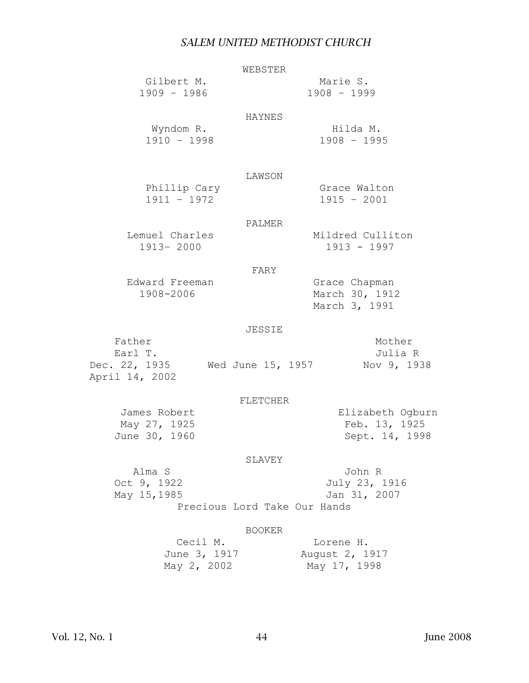#### WEBSTER

Gilbert M. Marie S. 1909 – 1986 1908 – 1999 HAYNES Wyndom R. Hilda M. 1910 – 1998 1908 – 1995 LAWSON Phillip Cary Grace Walton 1911 – 1972 1915 – 2001 PALMER Lemuel Charles Mildred Culliton 1913– 2000 1913 - 1997 FARY Edward Freeman Grace Chapman 1908-2006 March 30, 1912 March 3, 1991

#### JESSIE

| Father         |                   | Mother      |
|----------------|-------------------|-------------|
| Earl T.        |                   | Julia R     |
| Dec. 22, 1935  | Wed June 15, 1957 | Nov 9, 1938 |
| April 14, 2002 |                   |             |

### FLETCHER

James Robert **Elizabeth Ogburn** May 27, 1925 **Feb. 13, 1925** June 30, 1960 Sept. 14, 1998

#### SLAVEY

 Alma S John R Oct 9, 1922 July 23, 1916 May 15,1985 Jan 31, 2007 Precious Lord Take Our Hands

#### BOOKER

| Cecil M.     | Lorene H.      |
|--------------|----------------|
| June 3, 1917 | August 2, 1917 |
| May 2, 2002  | May 17, 1998   |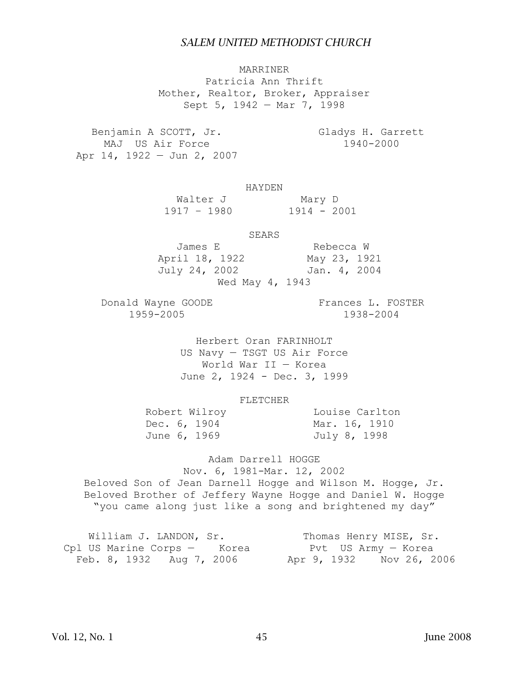### MARRINER

Patricia Ann Thrift Mother, Realtor, Broker, Appraiser Sept 5, 1942 — Mar 7, 1998

Benjamin A SCOTT, Jr. Gladys H. Garrett MAJ US Air Force Apr 14, 1922 — Jun 2, 2007 1940-2000

HAYDEN

| Walter J    | Mary D      |  |
|-------------|-------------|--|
| 1917 - 1980 | 1914 - 2001 |  |

### SEARS

| James E         | Rebecca W    |
|-----------------|--------------|
| April 18, 1922  | May 23, 1921 |
| July 24, 2002   | Jan. 4, 2004 |
| Wed May 4, 1943 |              |

Donald Wayne GOODE 1959-2005

Frances L. FOSTER 1938-2004

Herbert Oran FARINHOLT US Navy — TSGT US Air Force World War II — Korea June 2, 1924 - Dec. 3, 1999

### FLETCHER

Robert Wilroy Mandell Louise Carlton Dec. 6, 1904 Mar. 16, 1910 June 6, 1969 July 8, 1998

# Adam Darrell HOGGE Nov. 6, 1981-Mar. 12, 2002 Beloved Son of Jean Darnell Hogge and Wilson M. Hogge, Jr. Beloved Brother of Jeffery Wayne Hogge and Daniel W. Hogge "you came along just like a song and brightened my day"

William J. LANDON, Sr. Cpl US Marine Corps — Korea Feb. 8, 1932 Aug 7, 2006 Thomas Henry MISE, Sr. Pvt US Army — Korea Apr 9, 1932 Nov 26, 2006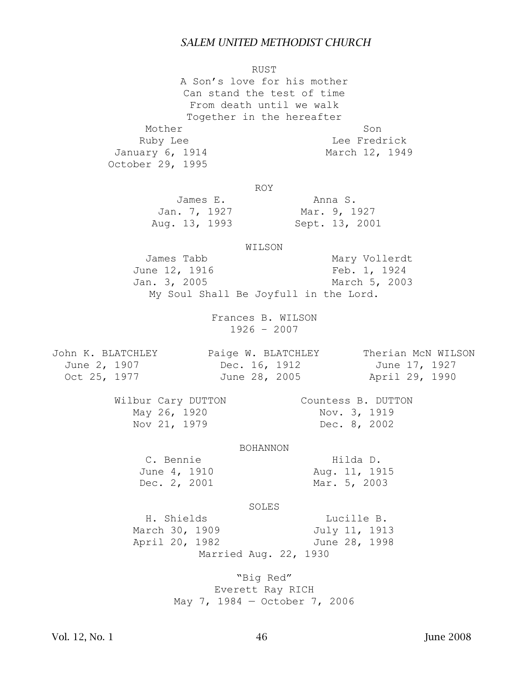RUST A Son's love for his mother Can stand the test of time From death until we walk Together in the hereafter Mother Son Ruby Lee  $\qquad$  Lee Fredrick January 6, 1914 March 12, 1949 October 29, 1995 ROY James E. Anna S. Jan. 7, 1927 Mar. 9, 1927 Aug. 13, 1993 Sept. 13, 2001 WILSON James Tabb Mary Vollerdt June 12, 1916 Feb. 1, 1924 Jan. 3, 2005 March 5, 2003 My Soul Shall Be Joyfull in the Lord. Frances B. WILSON 1926 – 2007 John K. BLATCHLEY Paige W. BLATCHLEY Therian McN WILSON June 2, 1907 Dec. 16, 1912 June 17, 1927 Oct 25, 1977 June 28, 2005 April 29, 1990 Wilbur Cary DUTTON Countess B. DUTTON May 26, 1920 Nov. 3, 1919 Nov 21, 1979 Dec. 8, 2002 BOHANNON C. Bennie Hilda D. June 4, 1910 Aug. 11, 1915 Dec. 2, 2001 Mar. 5, 2003 SOLES H. Shields<br>
March 30, 1909<br>
Annil 20, 1992 March 30, 1909 July 11, 1913 April 20, 1982 June 28, 1998 Married Aug. 22, 1930

> "Big Red" Everett Ray RICH May 7, 1984 — October 7, 2006